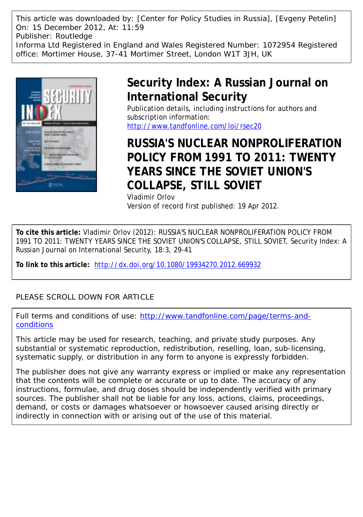This article was downloaded by: [Center for Policy Studies in Russia], [Evgeny Petelin] On: 15 December 2012, At: 11:59 Publisher: Routledge Informa Ltd Registered in England and Wales Registered Number: 1072954 Registered office: Mortimer House, 37-41 Mortimer Street, London W1T 3JH, UK



## **Security Index: A Russian Journal on International Security**

Publication details, including instructions for authors and subscription information: <http://www.tandfonline.com/loi/rsec20>

# **RUSSIA'S NUCLEAR NONPROLIFERATION POLICY FROM 1991 TO 2011: TWENTY YEARS SINCE THE SOVIET UNION'S COLLAPSE, STILL SOVIET**

Vladimir Orlov Version of record first published: 19 Apr 2012.

**To cite this article:** Vladimir Orlov (2012): RUSSIA'S NUCLEAR NONPROLIFERATION POLICY FROM 1991 TO 2011: TWENTY YEARS SINCE THE SOVIET UNION'S COLLAPSE, STILL SOVIET, Security Index: A Russian Journal on International Security, 18:3, 29-41

**To link to this article:** <http://dx.doi.org/10.1080/19934270.2012.669932>

## PLEASE SCROLL DOWN FOR ARTICLE

Full terms and conditions of use: [http://www.tandfonline.com/page/terms-and](http://www.tandfonline.com/page/terms-and-conditions)[conditions](http://www.tandfonline.com/page/terms-and-conditions)

This article may be used for research, teaching, and private study purposes. Any substantial or systematic reproduction, redistribution, reselling, loan, sub-licensing, systematic supply, or distribution in any form to anyone is expressly forbidden.

The publisher does not give any warranty express or implied or make any representation that the contents will be complete or accurate or up to date. The accuracy of any instructions, formulae, and drug doses should be independently verified with primary sources. The publisher shall not be liable for any loss, actions, claims, proceedings, demand, or costs or damages whatsoever or howsoever caused arising directly or indirectly in connection with or arising out of the use of this material.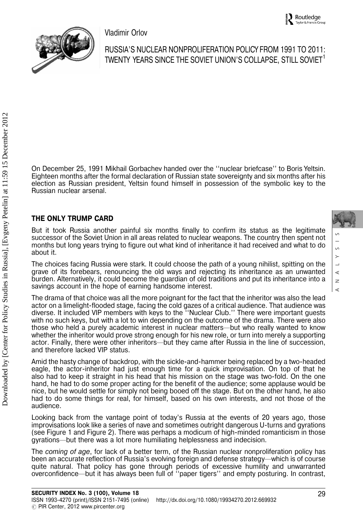



Vladimir Orlov

RUSSIA'S NUCLEAR NONPROLIFERATION POLICY FROM 1991 TO 2011: TWENTY YEARS SINCE THE SOVIET UNION'S COLLAPSE, STILL SOVIET<sup>1</sup>

On December 25, 1991 Mikhail Gorbachev handed over the ''nuclear briefcase'' to Boris Yeltsin. Eighteen months after the formal declaration of Russian state sovereignty and six months after his election as Russian president, Yeltsin found himself in possession of the symbolic key to the Russian nuclear arsenal.

## THE ONLY TRUMP CARD

Downloaded by [Center for Policy Studies in Russia], [Evgeny Petelin] at 11:59 15 December 2012

Downloaded by [Center for Policy Studies in Russia], [Evgeny Petelin] at 11:59 15 December 2012

But it took Russia another painful six months finally to confirm its status as the legitimate successor of the Soviet Union in all areas related to nuclear weapons. The country then spent not months but long years trying to figure out what kind of inheritance it had received and what to do about it.

The choices facing Russia were stark. It could choose the path of a young nihilist, spitting on the grave of its forebears, renouncing the old ways and rejecting its inheritance as an unwanted burden. Alternatively, it could become the guardian of old traditions and put its inheritance into a savings account in the hope of earning handsome interest.

The drama of that choice was all the more poignant for the fact that the inheritor was also the lead actor on a limelight-flooded stage, facing the cold gazes of a critical audience. That audience was diverse. It included VIP members with keys to the ''Nuclear Club.'' There were important guests with no such keys, but with a lot to win depending on the outcome of the drama. There were also those who held a purely academic interest in nuclear matters—but who really wanted to know whether the inheritor would prove strong enough for his new role, or turn into merely a supporting actor. Finally, there were other inheritors—but they came after Russia in the line of succession, and therefore lacked VIP status.

Amid the hasty change of backdrop, with the sickle-and-hammer being replaced by a two-headed eagle, the actor-inheritor had just enough time for a quick improvisation. On top of that he also had to keep it straight in his head that his mission on the stage was two-fold. On the one hand, he had to do some proper acting for the benefit of the audience; some applause would be nice, but he would settle for simply not being booed off the stage. But on the other hand, he also had to do some things for real, for himself, based on his own interests, and not those of the audience.

Looking back from the vantage point of today's Russia at the events of 20 years ago, those improvisations look like a series of nave and sometimes outright dangerous U-turns and gyrations (see Figure 1 and Figure 2). There was perhaps a modicum of high-minded romanticism in those gyrations—but there was a lot more humiliating helplessness and indecision.

The coming of age, for lack of a better term, of the Russian nuclear nonproliferation policy has been an accurate reflection of Russia's evolving foreign and defense strategy—which is of course quite natural. That policy has gone through periods of excessive humility and unwarranted overconfidence—but it has always been full of ''paper tigers'' and empty posturing. In contrast,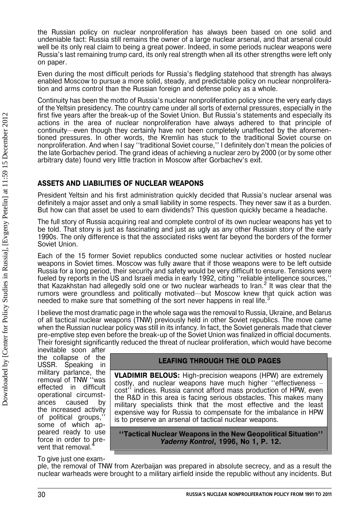the Russian policy on nuclear nonproliferation has always been based on one solid and undeniable fact: Russia still remains the owner of a large nuclear arsenal, and that arsenal could well be its only real claim to being a great power. Indeed, in some periods nuclear weapons were Russia's last remaining trump card, its only real strength when all its other strengths were left only on paper.

Even during the most difficult periods for Russia's fledgling statehood that strength has always enabled Moscow to pursue a more solid, steady, and predictable policy on nuclear nonproliferation and arms control than the Russian foreign and defense policy as a whole.

Continuity has been the motto of Russia's nuclear nonproliferation policy since the very early days of the Yeltsin presidency. The country came under all sorts of external pressures, especially in the first five years after the break-up of the Soviet Union. But Russia's statements and especially its actions in the area of nuclear nonproliferation have always adhered to that principle of continuity—even though they certainly have not been completely unaffected by the aforementioned pressures. In other words, the Kremlin has stuck to the traditional Soviet course on nonproliferation. And when I say ''traditional Soviet course,'' I definitely don't mean the policies of the late Gorbachev period. The grand ideas of achieving a nuclear zero by 2000 (or by some other arbitrary date) found very little traction in Moscow after Gorbachev's exit.

## ASSETS AND LIABILITIES OF NUCLEAR WEAPONS

President Yeltsin and his first administration quickly decided that Russia's nuclear arsenal was definitely a major asset and only a small liability in some respects. They never saw it as a burden. But how can that asset be used to earn dividends? This question quickly became a headache.

The full story of Russia acquiring real and complete control of its own nuclear weapons has yet to be told. That story is just as fascinating and just as ugly as any other Russian story of the early 1990s. The only difference is that the associated risks went far beyond the borders of the former Soviet Union.

Each of the 15 former Soviet republics conducted some nuclear activities or hosted nuclear weapons in Soviet times. Moscow was fully aware that if those weapons were to be left outside Russia for a long period, their security and safety would be very difficult to ensure. Tensions were fueled by reports in the US and Israeli media in early 1992, citing ''reliable intelligence sources,'' that Kazakhstan had allegedly sold one or two nuclear warheads to Iran.<sup>2</sup> It was clear that the rumors were groundless and politically motivated—but Moscow knew that quick action was needed to make sure that something of the sort never happens in real life.

I believe the most dramatic page in the whole saga was the removal to Russia, Ukraine, and Belarus of all tactical nuclear weapons (TNW) previously held in other Soviet republics. The move came when the Russian nuclear policy was still in its infancy. In fact, the Soviet generals made that clever pre-emptive step even before the break-up of the Soviet Union was finalized in official documents. Their foresight significantly reduced the threat of nuclear proliferation, which would have become

inevitable soon after the collapse of the USSR. Speaking in military parlance, the removal of TNW ''was effected in difficult operational circumstances caused by the increased activity of political groups, some of which appeared ready to use force in order to prevent that removal.

To give just one exam-

#### LEAFING THROUGH THE OLD PAGES

VLADIMIR BELOUS: High-precision weapons (HPW) are extremely costly, and nuclear weapons have much higher "effectiveness cost'' indices. Russia cannot afford mass production of HPW, even the R&D in this area is facing serious obstacles. This makes many military specialists think that the most effective and the least expensive way for Russia to compensate for the imbalance in HPW is to preserve an arsenal of tactical nuclear weapons.

''Tactical Nuclear Weapons in the New Geopolitical Situation'' Yaderny Kontrol, 1996, No 1, P. 12.

ple, the removal of TNW from Azerbaijan was prepared in absolute secrecy, and as a result the nuclear warheads were brought to a military airfield inside the republic without any incidents. But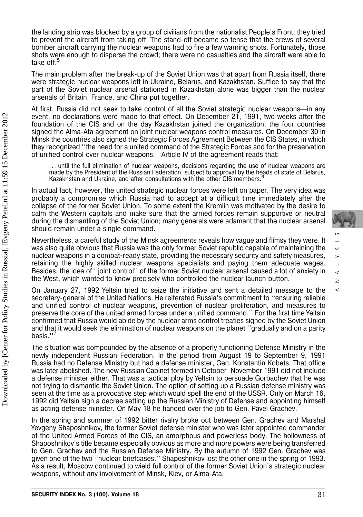the landing strip was blocked by a group of civilians from the nationalist People's Front; they tried to prevent the aircraft from taking off. The stand-off became so tense that the crews of several bomber aircraft carrying the nuclear weapons had to fire a few warning shots. Fortunately, those shots were enough to disperse the crowd; there were no casualties and the aircraft were able to take off.<sup>5</sup>

The main problem after the break-up of the Soviet Union was that apart from Russia itself, there were strategic nuclear weapons left in Ukraine, Belarus, and Kazakhstan. Suffice to say that the part of the Soviet nuclear arsenal stationed in Kazakhstan alone was bigger than the nuclear arsenals of Britain, France, and China put together.

At first, Russia did not seek to take control of all the Soviet strategic nuclear weapons—in any event, no declarations were made to that effect. On December 21, 1991, two weeks after the foundation of the CIS and on the day Kazakhstan joined the organization, the four countries signed the Alma-Ata agreement on joint nuclear weapons control measures. On December 30 in Minsk the countries also signed the Strategic Forces Agreement Between the CIS States, in which they recognized ''the need for a united command of the Strategic Forces and for the preservation of unified control over nuclear weapons.'' Article IV of the agreement reads that:

... until the full elimination of nuclear weapons, decisions regarding the use of nuclear weapons are made by the President of the Russian Federation, subject to approval by the heads of state of Belarus,<br>Kazakhstan and Ukraine, and after consultations with the other CIS members.<sup>6</sup>

In actual fact, however, the united strategic nuclear forces were left on paper. The very idea was probably a compromise which Russia had to accept at a difficult time immediately after the collapse of the former Soviet Union. To some extent the Kremlin was motivated by the desire to calm the Western capitals and make sure that the armed forces remain supportive or neutral during the dismantling of the Soviet Union; many generals were adamant that the nuclear arsenal should remain under a single command.

Nevertheless, a careful study of the Minsk agreements reveals how vague and flimsy they were. It was also quite obvious that Russia was the only former Soviet republic capable of maintaining the nuclear weapons in a combat-ready state, providing the necessary security and safety measures, retaining the highly skilled nuclear weapons specialists and paying them adequate wages. Besides, the idea of ''joint control'' of the former Soviet nuclear arsenal caused a lot of anxiety in the West, which wanted to know precisely who controlled the nuclear launch button.

On January 27, 1992 Yeltsin tried to seize the initiative and sent a detailed message to the secretary-general of the United Nations. He reiterated Russia's commitment to ''ensuring reliable and unified control of nuclear weapons, prevention of nuclear proliferation, and measures to preserve the core of the united armed forces under a unified command.'' For the first time Yeltsin confirmed that Russia would abide by the nuclear arms control treaties signed by the Soviet Union and that it would seek the elimination of nuclear weapons on the planet ''gradually and on a parity basis.''7

The situation was compounded by the absence of a properly functioning Defense Ministry in the newly independent Russian Federation. In the period from August 19 to September 9, 1991 Russia had no Defense Ministry but had a defense minister, Gen. Konstantin Kobets. That office was later abolished. The new Russian Cabinet formed in October-November 1991 did not include a defense minister either. That was a tactical ploy by Yeltsin to persuade Gorbachev that he was not trying to dismantle the Soviet Union. The option of setting up a Russian defense ministry was seen at the time as a provocative step which would spell the end of the USSR. Only on March 16, 1992 did Yeltsin sign a decree setting up the Russian Ministry of Defense and appointing himself as acting defense minister. On May 18 he handed over the job to Gen. Pavel Grachev.

In the spring and summer of 1992 bitter rivalry broke out between Gen. Grachev and Marshal Yevgeny Shaposhnikov, the former Soviet defense minister who was later appointed commander of the United Armed Forces of the CIS, an amorphous and powerless body. The hollowness of Shaposhnikov's title became especially obvious as more and more powers were being transferred to Gen. Grachev and the Russian Defense Ministry. By the autumn of 1992 Gen. Grachev was given one of the two ''nuclear briefcases.'' Shaposhnikov lost the other one in the spring of 1993. As a result, Moscow continued to wield full control of the former Soviet Union's strategic nuclear weapons, without any involvement of Minsk, Kiev, or Alma-Ata.

ANALYSIS

 $\circ$  $\rightarrow$  $\overline{\phantom{a}}$  $\prec$  $\overline{z}$  $\prec$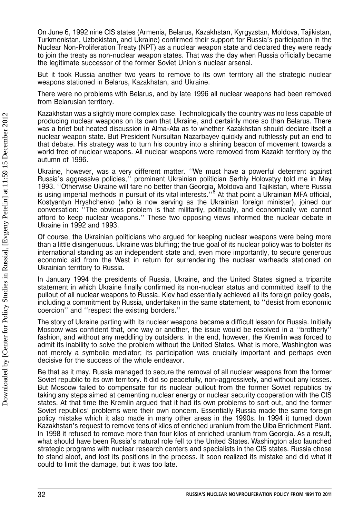On June 6, 1992 nine CIS states (Armenia, Belarus, Kazakhstan, Kyrgyzstan, Moldova, Tajikistan, Turkmenistan, Uzbekistan, and Ukraine) confirmed their support for Russia's participation in the Nuclear Non-Proliferation Treaty (NPT) as a nuclear weapon state and declared they were ready to join the treaty as non-nuclear weapon states. That was the day when Russia officially became the legitimate successor of the former Soviet Union's nuclear arsenal.

But it took Russia another two years to remove to its own territory all the strategic nuclear weapons stationed in Belarus, Kazakhstan, and Ukraine.

There were no problems with Belarus, and by late 1996 all nuclear weapons had been removed from Belarusian territory.

Kazakhstan was a slightly more complex case. Technologically the country was no less capable of producing nuclear weapons on its own that Ukraine, and certainly more so than Belarus. There was a brief but heated discussion in Alma-Ata as to whether Kazakhstan should declare itself a nuclear weapon state. But President Nursultan Nazarbayev quickly and ruthlessly put an end to that debate. His strategy was to turn his country into a shining beacon of movement towards a world free of nuclear weapons. All nuclear weapons were removed from Kazakh territory by the autumn of 1996.

Ukraine, however, was a very different matter. ''We must have a powerful deterrent against Russia's aggressive policies,'' prominent Ukrainian politician Serhiy Holovatyy told me in May 1993. ''Otherwise Ukraine will fare no better than Georgia, Moldova and Tajikistan, where Russia<br>is using imperial methods in pursuit of its vital interests.''<sup>8</sup> At that point a Ukrainian MFA official, Kostyantyn Hryshchenko (who is now serving as the Ukrainian foreign minister), joined our conversation: ''The obvious problem is that militarily, politically, and economically we cannot afford to keep nuclear weapons.'' These two opposing views informed the nuclear debate in Ukraine in 1992 and 1993.

Of course, the Ukrainian politicians who argued for keeping nuclear weapons were being more than a little disingenuous. Ukraine was bluffing; the true goal of its nuclear policy was to bolster its international standing as an independent state and, even more importantly, to secure generous economic aid from the West in return for surrendering the nuclear warheads stationed on Ukrainian territory to Russia.

In January 1994 the presidents of Russia, Ukraine, and the United States signed a tripartite statement in which Ukraine finally confirmed its non-nuclear status and committed itself to the pullout of all nuclear weapons to Russia. Kiev had essentially achieved all its foreign policy goals, including a commitment by Russia, undertaken in the same statement, to ''desist from economic coercion'' and ''respect the existing borders.''

The story of Ukraine parting with its nuclear weapons became a difficult lesson for Russia. Initially Moscow was confident that, one way or another, the issue would be resolved in a ''brotherly'' fashion, and without any meddling by outsiders. In the end, however, the Kremlin was forced to admit its inability to solve the problem without the United States. What is more, Washington was not merely a symbolic mediator; its participation was crucially important and perhaps even decisive for the success of the whole endeavor.

Be that as it may, Russia managed to secure the removal of all nuclear weapons from the former Soviet republic to its own territory. It did so peacefully, non-aggressively, and without any losses. But Moscow failed to compensate for its nuclear pullout from the former Soviet republics by taking any steps aimed at cementing nuclear energy or nuclear security cooperation with the CIS states. At that time the Kremlin argued that it had its own problems to sort out, and the former Soviet republics' problems were their own concern. Essentially Russia made the same foreign policy mistake which it also made in many other areas in the 1990s. In 1994 it turned down Kazakhstan's request to remove tens of kilos of enriched uranium from the Ulba Enrichment Plant. In 1998 it refused to remove more than four kilos of enriched uranium from Georgia. As a result, what should have been Russia's natural role fell to the United States. Washington also launched strategic programs with nuclear research centers and specialists in the CIS states. Russia chose to stand aloof, and lost its positions in the process. It soon realized its mistake and did what it could to limit the damage, but it was too late.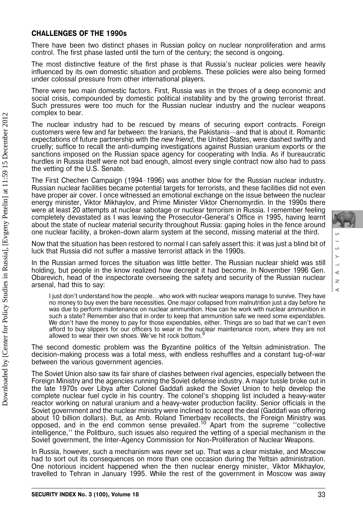#### CHALLENGES OF THE 1990s

There have been two distinct phases in Russian policy on nuclear nonproliferation and arms control. The first phase lasted until the turn of the century; the second is ongoing.

The most distinctive feature of the first phase is that Russia's nuclear policies were heavily influenced by its own domestic situation and problems. These policies were also being formed under colossal pressure from other international players.

There were two main domestic factors. First, Russia was in the throes of a deep economic and social crisis, compounded by domestic political instability and by the growing terrorist threat. Such pressures were too much for the Russian nuclear industry and the nuclear weapons complex to bear.

The nuclear industry had to be rescued by means of securing export contracts. Foreign customers were few and far between: the Iranians, the Pakistanis—and that is about it. Romantic expectations of future partnership with the new friend, the United States, were dashed swiftly and cruelly; suffice to recall the anti-dumping investigations against Russian uranium exports or the sanctions imposed on the Russian space agency for cooperating with India. As if bureaucratic hurdles in Russia itself were not bad enough, almost every single contract now also had to pass the vetting of the U.S. Senate.

The First Chechen Campaign (1994-1996) was another blow for the Russian nuclear industry. Russian nuclear facilities became potential targets for terrorists, and these facilities did not even have proper air cover. I once witnessed an emotional exchange on the issue between the nuclear energy minister, Viktor Mikhaylov, and Prime Minister Viktor Chernomyrdin. In the 1990s there were at least 20 attempts at nuclear sabotage or nuclear terrorism in Russia. I remember feeling completely devastated as I was leaving the Prosecutor-General's Office in 1995, having learnt about the state of nuclear material security throughout Russia: gaping holes in the fence around one nuclear facility, a broken-down alarm system at the second, missing material at the third.

Now that the situation has been restored to normal I can safely assert this: it was just a blind bit of luck that Russia did not suffer a massive terrorist attack in the 1990s.

In the Russian armed forces the situation was little better. The Russian nuclear shield was still holding, but people in the know realized how decrepit it had become. In November 1996 Gen. Obarevich, head of the inspectorate overseeing the safety and security of the Russian nuclear arsenal, had this to say:

I just don't understand how the people...who work with nuclear weapons manage to survive. They have no money to buy even the bare necessities. One major collapsed from malnutrition just a day before he was due to perform maintenance on nuclear ammunition. How can he work with nuclear ammunition in such a state? Remember also that in order to keep that ammunition safe we need some expendables. We don't have the money to pay for those expendables, either. Things are so bad that we can't even afford to buy slippers for our officers to wear in the nuclear maintenance room, where they are not allowed to wear their own shoes. We've hit rock bottom.<sup>9</sup>

The second domestic problem was the Byzantine politics of the Yeltsin administration. The decision-making process was a total mess, with endless reshuffles and a constant tug-of-war between the various government agencies.

The Soviet Union also saw its fair share of clashes between rival agencies, especially between the Foreign Ministry and the agencies running the Soviet defense industry. A major tussle broke out in the late 1970s over Libya after Colonel Gaddafi asked the Soviet Union to help develop the complete nuclear fuel cycle in his country. The colonel's shopping list included a heavy-water reactor working on natural uranium and a heavy-water production facility. Senior officials in the Soviet government and the nuclear ministry were inclined to accept the deal (Gaddafi was offering about 10 billion dollars). But, as Amb. Roland Timerbaev recollects, the Foreign Ministry was<br>opposed, and in the end common sense prevailed.<sup>10</sup> Apart from the supreme ''collective intelligence,'' the Politburo, such issues also required the vetting of a special mechanism in the Soviet government, the Inter-Agency Commission for Non-Proliferation of Nuclear Weapons.

In Russia, however, such a mechanism was never set up. That was a clear mistake, and Moscow had to sort out its consequences on more than one occasion during the Yeltsin administration. One notorious incident happened when the then nuclear energy minister, Viktor Mikhaylov, travelled to Tehran in January 1995. While the rest of the government in Moscow was away ANALYSIS

 $\circ$  $\circ$  $\rightarrow$  $\overline{\phantom{a}}$  $\prec$  $\overline{z}$  $\prec$ 

AH.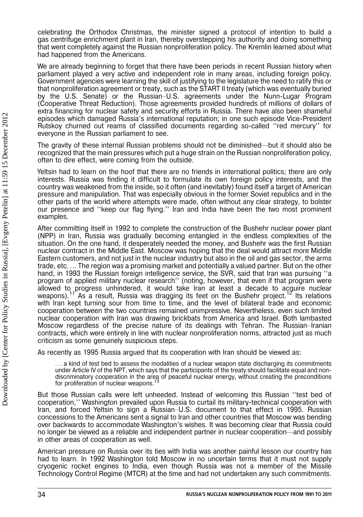celebrating the Orthodox Christmas, the minister signed a protocol of intention to build a gas centrifuge enrichment plant in Iran, thereby overstepping his authority and doing something that went completely against the Russian nonproliferation policy. The Kremlin learned about what had happened from the Americans.

We are already beginning to forget that there have been periods in recent Russian history when parliament played a very active and independent role in many areas, including foreign policy. Government agencies were learning the skill of justifying to the legislature the need to ratify this or that nonproliferation agreement or treaty, such as the START II treaty (which was eventually buried by the U.S. Senate) or the Russian–U.S. agreements under the Nunn-Lugar Program (Cooperative Threat Reduction). Those agreements provided hundreds of millions of dollars of extra financing for nuclear safety and security efforts in Russia. There have also been shameful episodes which damaged Russia's international reputation; in one such episode Vice-President Rutskoy churned out reams of classified documents regarding so-called ''red mercury'' for everyone in the Russian parliament to see.

The gravity of these internal Russian problems should not be diminished—but it should also be recognized that the main pressures which put a huge strain on the Russian nonproliferation policy, often to dire effect, were coming from the outside.

Yeltsin had to learn on the hoof that there are no friends in international politics; there are only interests. Russia was finding it difficult to formulate its own foreign policy interests, and the country was weakened from the inside, so it often (and inevitably) found itself a target of American pressure and manipulation. That was especially obvious in the former Soviet republics and in the other parts of the world where attempts were made, often without any clear strategy, to bolster our presence and ''keep our flag flying.'' Iran and India have been the two most prominent examples.

After committing itself in 1992 to complete the construction of the Bushehr nuclear power plant (NPP) in Iran, Russia was gradually becoming entangled in the endless complexities of the situation. On the one hand, it desperately needed the money, and Bushehr was the first Russian nuclear contract in the Middle East. Moscow was hoping that the deal would attract more Middle Eastern customers, and not just in the nuclear industry but also in the oil and gas sector, the arms trade, etc.... The region was a promising market and potentially a valued partner. But on the other hand, in 1993 the Russian foreign intelligence service, the SVR, said that Iran was pursuing ''a program of applied military nuclear research'' (noting, however, that even if that program were allowed to progress unhindered, it would take Iran at least a decade to acquire nuclear weapons).<sup>11</sup> As a result, Russia was dragging its feet on the Bushehr project.<sup>12</sup> Its relations with Iran kept turning sour from time to time, and the level of bilateral trade and economic cooperation between the two countries remained unimpressive. Nevertheless, even such limited nuclear cooperation with Iran was drawing brickbats from America and Israel. Both lambasted Moscow regardless of the precise nature of its dealings with Tehran. The Russian-Iranian contracts, which were entirely in line with nuclear nonproliferation norms, attracted just as much criticism as some genuinely suspicious steps.

As recently as 1995 Russia argued that its cooperation with Iran should be viewed as:

... a kind of test bed to assess the modalities of a nuclear weapon state discharging its commitments under Article IV of the NPT, which says that the participants of the treaty should facilitate equal and nondiscriminatory cooperation in the area of peaceful nuclear energy, without creating the preconditions<br>for proliferation of nuclear weapons.<sup>13</sup>

But those Russian calls were left unheeded. Instead of welcoming this Russian ''test bed of cooperation,'' Washington prevailed upon Russia to curtail its military-technical cooperation with Iran, and forced Yeltsin to sign a Russian-U.S. document to that effect in 1995. Russian concessions to the Americans sent a signal to Iran and other countries that Moscow was bending over backwards to accommodate Washington's wishes. It was becoming clear that Russia could no longer be viewed as a reliable and independent partner in nuclear cooperation—and possibly in other areas of cooperation as well.

American pressure on Russia over its ties with India was another painful lesson our country has had to learn. In 1992 Washington told Moscow in no uncertain terms that it must not supply cryogenic rocket engines to India, even though Russia was not a member of the Missile Technology Control Regime (MTCR) at the time and had not undertaken any such commitments.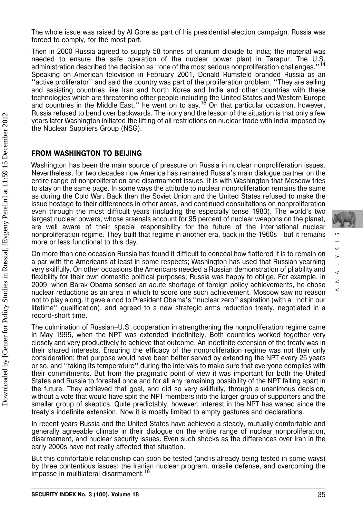The whole issue was raised by Al Gore as part of his presidential election campaign. Russia was forced to comply, for the most part.

Then in 2000 Russia agreed to supply 58 tonnes of uranium dioxide to India; the material was needed to ensure the safe operation of the nuclear power plant in Tarapur. The U.S.<br>administration described the decision as "one of the most serious nonproliferation challenges."<sup>14</sup> Speaking on American television in February 2001, Donald Rumsfeld branded Russia as an ''active proliferator'' and said the country was part of the proliferation problem. ''They are selling and assisting countries like Iran and North Korea and India and other countries with these technologies which are threatening other people including the United States and Western Europe and countries in the Middle East,'' he went on to say.<sup>15</sup> On that particular occasion, however, Russia refused to bend over backwards. The irony and the lesson of the situation is that only a few years later Washington initiated the lifting of all restrictions on nuclear trade with India imposed by the Nuclear Suppliers Group (NSG).

#### FROM WASHINGTON TO BEIJING

Washington has been the main source of pressure on Russia in nuclear nonproliferation issues. Nevertheless, for two decades now America has remained Russia's main dialogue partner on the entire range of nonproliferation and disarmament issues. It is with Washington that Moscow tries to stay on the same page. In some ways the attitude to nuclear nonproliferation remains the same as during the Cold War. Back then the Soviet Union and the United States refused to make the issue hostage to their differences in other areas, and continued consultations on nonproliferation even through the most difficult years (including the especially tense 1983). The world's two largest nuclear powers, whose arsenals account for 95 percent of nuclear weapons on the planet, are well aware of their special responsibility for the future of the international nuclear nonproliferation regime. They built that regime in another era, back in the 1960s—but it remains more or less functional to this day.

On more than one occasion Russia has found it difficult to conceal how flattered it is to remain on a par with the Americans at least in some respects; Washington has used that Russian yearning very skillfully. On other occasions the Americans needed a Russian demonstration of pliability and flexibility for their own domestic political purposes; Russia was happy to oblige. For example, in 2009, when Barak Obama sensed an acute shortage of foreign policy achievements, he chose nuclear reductions as an area in which to score one such achievement. Moscow saw no reason not to play along. It gave a nod to President Obama's ''nuclear zero'' aspiration (with a ''not in our lifetime'' qualification), and agreed to a new strategic arms reduction treaty, negotiated in a record-short time.

The culmination of Russian-U.S. cooperation in strengthening the nonproliferation regime came in May 1995, when the NPT was extended indefinitely. Both countries worked together very closely and very productively to achieve that outcome. An indefinite extension of the treaty was in their shared interests. Ensuring the efficacy of the nonproliferation regime was not their only consideration; that purpose would have been better served by extending the NPT every 25 years or so, and ''taking its temperature'' during the intervals to make sure that everyone complies with their commitments. But from the pragmatic point of view it was important for both the United States and Russia to forestall once and for all any remaining possibility of the NPT falling apart in the future. They achieved that goal, and did so very skillfully, through a unanimous decision, without a vote that would have split the NPT members into the larger group of supporters and the smaller group of skeptics. Quite predictably, however, interest in the NPT has waned since the treaty's indefinite extension. Now it is mostly limited to empty gestures and declarations.

In recent years Russia and the United States have achieved a steady, mutually comfortable and generally agreeable climate in their dialogue on the entire range of nuclear nonproliferation, disarmament, and nuclear security issues. Even such shocks as the differences over Iran in the early 2000s have not really affected that situation.

But this comfortable relationship can soon be tested (and is already being tested in some ways) by three contentious issues: the Iranian nuclear program, missile defense, and overcoming the impasse in multilateral disarmament.<sup>16</sup>

 $\circ$  $\rightarrow$  $\overline{\phantom{a}}$  $\prec$  $\overline{z}$  $\prec$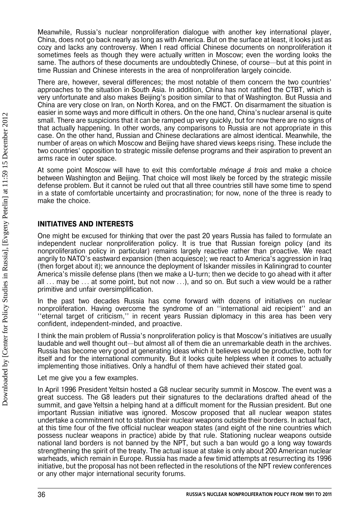Meanwhile, Russia's nuclear nonproliferation dialogue with another key international player, China, does not go back nearly as long as with America. But on the surface at least, it looks just as cozy and lacks any controversy. When I read official Chinese documents on nonproliferation it sometimes feels as though they were actually written in Moscow; even the wording looks the same. The authors of these documents are undoubtedly Chinese, of course—but at this point in time Russian and Chinese interests in the area of nonproliferation largely coincide.

There are, however, several differences; the most notable of them concern the two countries' approaches to the situation in South Asia. In addition, China has not ratified the CTBT, which is very unfortunate and also makes Beijing's position similar to that of Washington. But Russia and China are very close on Iran, on North Korea, and on the FMCT. On disarmament the situation is easier in some ways and more difficult in others. On the one hand, China's nuclear arsenal is quite small. There are suspicions that it can be ramped up very quickly, but for now there are no signs of that actually happening. In other words, any comparisons to Russia are not appropriate in this case. On the other hand, Russian and Chinese declarations are almost identical. Meanwhile, the number of areas on which Moscow and Beijing have shared views keeps rising. These include the two countries' opposition to strategic missile defense programs and their aspiration to prevent an arms race in outer space.

At some point Moscow will have to exit this comfortable menage a trois and make a choice between Washington and Beijing. That choice will most likely be forced by the strategic missile defense problem. But it cannot be ruled out that all three countries still have some time to spend in a state of comfortable uncertainty and procrastination; for now, none of the three is ready to make the choice.

#### INITIATIVES AND INTERESTS

One might be excused for thinking that over the past 20 years Russia has failed to formulate an independent nuclear nonproliferation policy. It is true that Russian foreign policy (and its nonproliferation policy in particular) remains largely reactive rather than proactive. We react angrily to NATO's eastward expansion (then acquiesce); we react to America's aggression in Iraq (then forget about it); we announce the deployment of Iskander missiles in Kaliningrad to counter America's missile defense plans (then we make a U-turn; then we decide to go ahead with it after all ... may be ... at some point, but not now ...), and so on. But such a view would be a rather primitive and unfair oversimplification.

In the past two decades Russia has come forward with dozens of initiatives on nuclear nonproliferation. Having overcome the syndrome of an ''international aid recipient'' and an ''eternal target of criticism,'' in recent years Russian diplomacy in this area has been very confident, independent-minded, and proactive.

I think the main problem of Russia's nonproliferation policy is that Moscow's initiatives are usually laudable and well thought out—but almost all of them die an unremarkable death in the archives. Russia has become very good at generating ideas which it believes would be productive, both for itself and for the international community. But it looks quite helpless when it comes to actually implementing those initiatives. Only a handful of them have achieved their stated goal.

Let me give you a few examples.

In April 1996 President Yeltsin hosted a G8 nuclear security summit in Moscow. The event was a great success. The G8 leaders put their signatures to the declarations drafted ahead of the summit, and gave Yeltsin a helping hand at a difficult moment for the Russian president. But one important Russian initiative was ignored. Moscow proposed that all nuclear weapon states undertake a commitment not to station their nuclear weapons outside their borders. In actual fact, at this time four of the five official nuclear weapon states (and eight of the nine countries which possess nuclear weapons in practice) abide by that rule. Stationing nuclear weapons outside national land borders is not banned by the NPT, but such a ban would go a long way towards strengthening the spirit of the treaty. The actual issue at stake is only about 200 American nuclear warheads, which remain in Europe. Russia has made a few timid attempts at resurrecting its 1996 initiative, but the proposal has not been reflected in the resolutions of the NPT review conferences or any other major international security forums.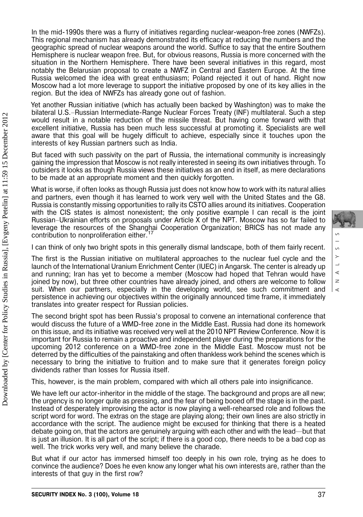In the mid-1990s there was a flurry of initiatives regarding nuclear-weapon-free zones (NWFZs). This regional mechanism has already demonstrated its efficacy at reducing the numbers and the geographic spread of nuclear weapons around the world. Suffice to say that the entire Southern Hemisphere is nuclear weapon free. But, for obvious reasons, Russia is more concerned with the situation in the Northern Hemisphere. There have been several initiatives in this regard, most notably the Belarusian proposal to create a NWFZ in Central and Eastern Europe. At the time Russia welcomed the idea with great enthusiasm; Poland rejected it out of hand. Right now Moscow had a lot more leverage to support the initiative proposed by one of its key allies in the region. But the idea of NWFZs has already gone out of fashion.

Yet another Russian initiative (which has actually been backed by Washington) was to make the bilateral U.S.-Russian Intermediate-Range Nuclear Forces Treaty (INF) multilateral. Such a step would result in a notable reduction of the missile threat. But having come forward with that excellent initiative, Russia has been much less successful at promoting it. Specialists are well aware that this goal will be hugely difficult to achieve, especially since it touches upon the interests of key Russian partners such as India.

But faced with such passivity on the part of Russia, the international community is increasingly gaining the impression that Moscow is not really interested in seeing its own initiatives through. To outsiders it looks as though Russia views these initiatives as an end in itself, as mere declarations to be made at an appropriate moment and then quickly forgotten.

What is worse, if often looks as though Russia just does not know how to work with its natural allies and partners, even though it has learned to work very well with the United States and the G8. Russia is constantly missing opportunities to rally its CSTO allies around its initiatives. Cooperation with the CIS states is almost nonexistent; the only positive example I can recall is the joint Russian-Ukrainian efforts on proposals under Article X of the NPT. Moscow has so far failed to leverage the resources of the Shanghai Cooperation Organization; BRICS has not made any contribution to nonproliferation either.<sup>17</sup>

I can think of only two bright spots in this generally dismal landscape, both of them fairly recent.

The first is the Russian initiative on multilateral approaches to the nuclear fuel cycle and the launch of the International Uranium Enrichment Center (IUEC) in Angarsk. The center is already up and running; Iran has yet to become a member (Moscow had hoped that Tehran would have joined by now), but three other countries have already joined, and others are welcome to follow suit. When our partners, especially in the developing world, see such commitment and persistence in achieving our objectives within the originally announced time frame, it immediately translates into greater respect for Russian policies.

The second bright spot has been Russia's proposal to convene an international conference that would discuss the future of a WMD-free zone in the Middle East. Russia had done its homework on this issue, and its initiative was received very well at the 2010 NPT Review Conference. Now it is important for Russia to remain a proactive and independent player during the preparations for the upcoming 2012 conference on a WMD-free zone in the Middle East. Moscow must not be deterred by the difficulties of the painstaking and often thankless work behind the scenes which is necessary to bring the initiative to fruition and to make sure that it generates foreign policy dividends rather than losses for Russia itself.

This, however, is the main problem, compared with which all others pale into insignificance.

We have left our actor-inheritor in the middle of the stage. The background and props are all new; the urgency is no longer quite as pressing, and the fear of being booed off the stage is in the past. Instead of desperately improvising the actor is now playing a well-rehearsed role and follows the script word for word. The extras on the stage are playing along; their own lines are also strictly in accordance with the script. The audience might be excused for thinking that there is a heated debate going on, that the actors are genuinely arguing with each other and with the lead—but that is just an illusion. It is all part of the script; if there is a good cop, there needs to be a bad cop as well. The trick works very well, and many believe the charade.

But what if our actor has immersed himself too deeply in his own role, trying as he does to convince the audience? Does he even know any longer what his own interests are, rather than the interests of that guy in the first row?

ANALYSIS

 $\circ$  $\circ$  $\rightarrow$  $\overline{\phantom{a}}$  $\prec$  $\overline{z}$  $\vert$   $\triangleleft$ 

外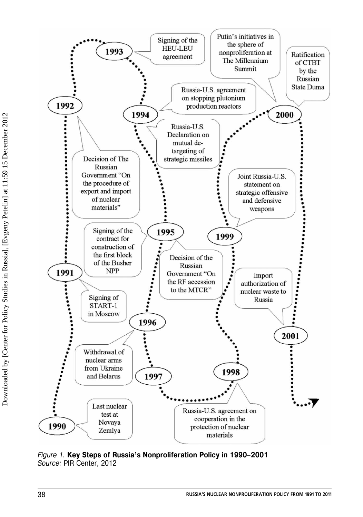

Figure 1. Key Steps of Russia's Nonproliferation Policy in 1990-2001 Source: PIR Center, 2012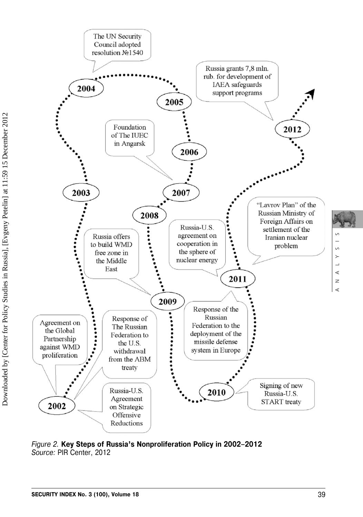

Figure 2. Key Steps of Russia's Nonproliferation Policy in 2002-2012 Source: PIR Center, 2012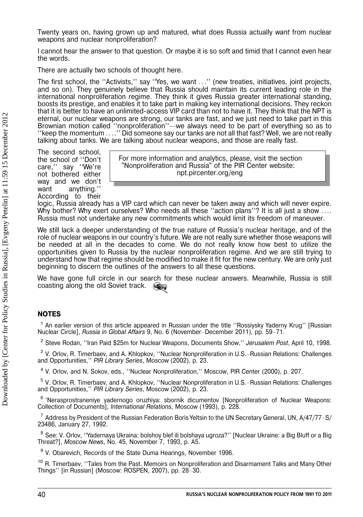Twenty years on, having grown up and matured, what does Russia actually want from nuclear weapons and nuclear nonproliferation?

I cannot hear the answer to that question. Or maybe it is so soft and timid that I cannot even hear the words.

There are actually two schools of thought here.

The first school, the ''Activists,'' say ''Yes, we want ...'' (new treaties, initiatives, joint projects, and so on). They genuinely believe that Russia should maintain its current leading role in the international nonproliferation regime. They think it gives Russia greater international standing, boosts its prestige, and enables it to take part in making key international decisions. They reckon that it is better to have an unlimited-access VIP card than not to have it. They think that the NPT is eternal, our nuclear weapons are strong, our tanks are fast, and we just need to take part in this Brownian motion called ''nonproliferation''—we always need to be part of everything so as to ''keep the momentum ....'' Did someone say our tanks are not all that fast? Well, we are not really talking about tanks. We are talking about nuclear weapons, and those are really fast.

The second school, the school of ''Don't care,'' say ''We're not bothered either way and we don't want anything.'' According to their

For more information and analytics, please, visit the section "Nonproliferation and Russia" of the PIR Center website: <npt.pircenter.org/eng>

logic, Russia already has a VIP card which can never be taken away and which will never expire. Why bother? Why exert ourselves? Who needs all these "action plans"? It is all just a show .... Russia must not undertake any new commitments which would limit its freedom of maneuver.

We still lack a deeper understanding of the true nature of Russia's nuclear heritage, and of the role of nuclear weapons in our country's future. We are not really sure whether those weapons will be needed at all in the decades to come. We do not really know how best to utilize the opportunities given to Russia by the nuclear nonproliferation regime. And we are still trying to understand how that regime should be modified to make it fit for the new century. We are only just beginning to discern the outlines of the answers to all these questions.

We have gone full circle in our search for these nuclear answers. Meanwhile, Russia is still coasting along the old Soviet track.

#### **NOTES**

<sup>1</sup> An earlier version of this article appeared in Russian under the title ''Rossiysky Yaderny Krug'' [Russian Nuclear Circle], *Russia in Global Affairs* 9, No. 6 (November–December 2011), pp. 59–71.

<sup>2</sup> Steve Rodan, "Iran Paid \$25m for Nuclear Weapons, Documents Show," Jerusalem Post, April 10, 1998.

 $3$  V. Orlov, R. Timerbaev, and A. Khlopkov, "Nuclear Nonproliferation in U.S.–Russian Relations: Challenges and Opportunities,'' PIR Library Series, Moscow (2002), p. 23.

<sup>4</sup> V. Orlov, and N. Sokov, eds., ''Nuclear Nonproliferation,'' Moscow, PIR Center (2000), p. 207.

<sup>5</sup> V. Orlov, R. Timerbaev, and A. Khlopkov, "Nuclear Nonproliferation in U.S.–Russian Relations: Challenges and Opportunities,'' PIR Library Series, Moscow (2002), p. 23.

<sup>6</sup> 'Nerasprostraneniye yadernogo oruzhiya: sbornik dicumentov [Nonproliferation of Nuclear Weapons: Collection of Documents], International Relations, Moscow (1993), p. 228.

 $^7$  Address by President of the Russian Federation Boris Yeltsin to the UN Secretary General, UN, A/47/77-S/ 23486, January 27, 1992.

 $^8$  See: V. Orlov, ''Yadernaya Ukraina: bolshoy blef ili bolshaya ugroza?'' [Nuclear Ukraine: a Big Bluff or a Big Threat?], Moscow News, No. 45, November 7, 1993, p. A5.

<sup>9</sup> V. Obarevich, Records of the State Duma Hearings, November 1996.

<sup>10</sup> R. Timerbaev, "Tales from the Past. Memoirs on Nonproliferation and Disarmament Talks and Many Other Things'' [in Russian] (Moscow: ROSPEN, 2007), pp. 28-30.